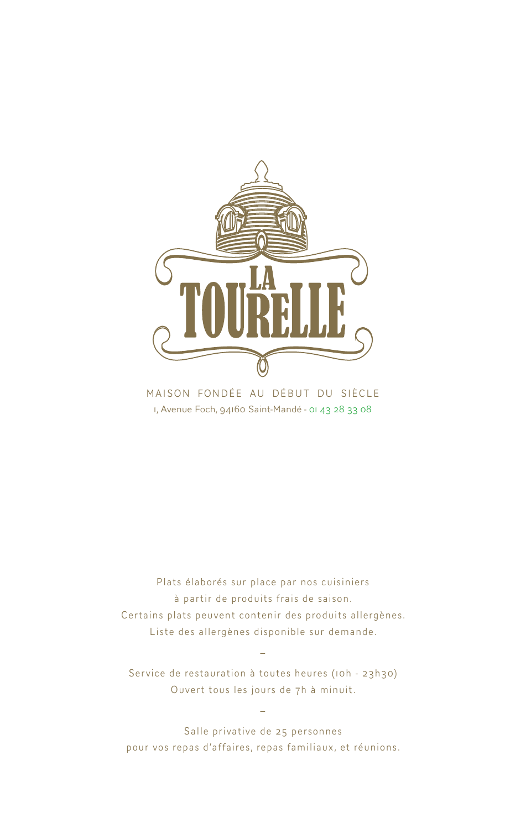

MAISON FONDÉE AU DÉBUT DU SIÈCLE 1, Avenue Foch, 94160 Saint-Mandé - 01 43 28 33 08

Plats élaborés sur place par nos cuisiniers à partir de produits frais de saison. Certains plats peuvent contenir des produits allergènes. Liste des allergènes disponible sur demande.

Service de restauration à toutes heures (10h - 23h30) Ouvert tous les jours de 7h à minuit.

\_

 $\overline{a}$ 

Salle privative de 25 personnes pour vos repas d'affaires, repas familiaux, et réunions.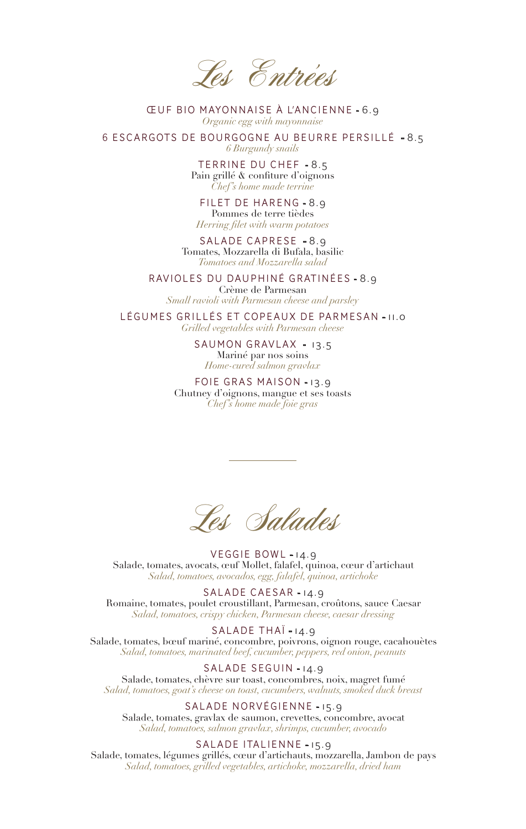Les Entrées

ŒUF BIO MAYONNAISE À L'ANCIENNE - 6.9 *Organic egg with mayonnaise*

6 ESCARGOTS DE BOURGOGNE AU BEURRE PERSILLÉ - 8.5 *6 Burgundy snails*

> TERRINE DU CHEF - 8.5 Pain grillé & confiture d'oignons *Chef's home made terrine*

FILET DE HARENG - 8.9 Pommes de terre tièdes *Herring filet with warm potatoes*

SALADE CAPRESE - 8.9 Tomates, Mozzarella di Bufala, basilic *Tomatoes and Mozzarella salad*

RAVIOLES DU DAUPHINÉ GRATINÉES - 8.9

Crème de Parmesan *Small ravioli with Parmesan cheese and parsley*

LÉGUMES GRILLÉS ET COPEAUX DE PARMESAN - 11.0 *Grilled vegetables with Parmesan cheese*

> SAUMON GRAVLAX - 13.5 Mariné par nos soins *Home-cured salmon gravlax*

FOIE GRAS MAISON - 13.9 Chutney d'oignons, mangue et ses toasts *Chef's home made foie gras*

Les Salades

VEGGIE BOWL - 14.9 Salade, tomates, avocats, œuf Mollet, falafel, quinoa, cœur d'artichaut *Salad, tomatoes, avocados, egg, falafel, quinoa, artichoke*

SALADE CAESAR - 14.9 Romaine, tomates, poulet croustillant, Parmesan, croûtons, sauce Caesar *Salad, tomatoes, crispy chicken, Parmesan cheese, caesar dressing*

SALADE THAÏ - 14.9 Salade, tomates, bœuf mariné, concombre, poivrons, oignon rouge, cacahouètes *Salad, tomatoes, marinated beef, cucumber, peppers, red onion, peanuts*

SALADE SEGUIN-14.9 Salade, tomates, chèvre sur toast, concombres, noix, magret fumé *Salad, tomatoes, goat's cheese on toast, cucumbers, walnuts, smoked duck breast*

SALADE NORVÉGIENNE - 15.9 Salade, tomates, gravlax de saumon, crevettes, concombre, avocat *Salad, tomatoes, salmon gravlax, shrimps, cucumber, avocado*

SALADE ITALIENNE - 15.9

Salade, tomates, légumes grillés, cœur d'artichauts, mozzarella, Jambon de pays *Salad, tomatoes, grilled vegetables, artichoke, mozzarella, dried ham*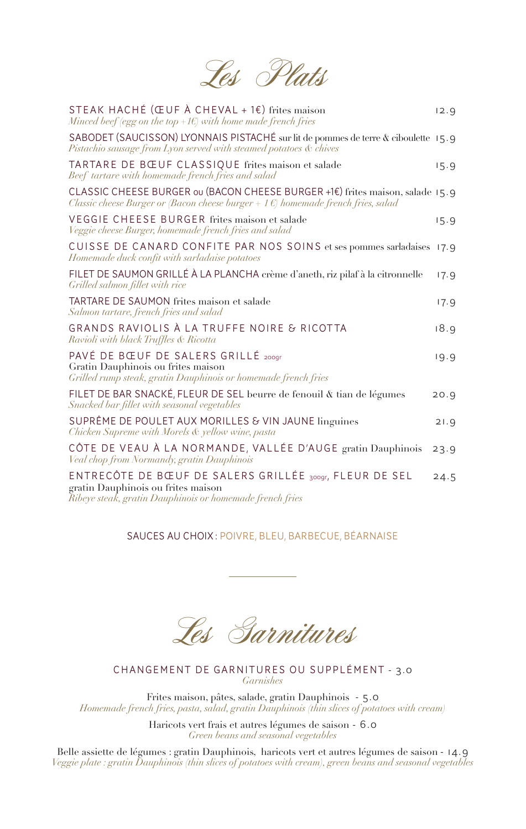Les Plats

| STEAK HACHÉ (ŒUF À CHEVAL + 1 $\varepsilon$ ) frites maison<br>Minced beef (egg on the top +1 $\epsilon$ ) with home made french fries                                       | 12.9 |
|------------------------------------------------------------------------------------------------------------------------------------------------------------------------------|------|
| SABODET (SAUCISSON) LYONNAIS PISTACHÉ sur lit de pommes de terre & ciboulette 15.9<br>Pistachio sausage from Lyon served with steamed potatoes & chives                      |      |
| TARTARE DE BŒUF CLASSIQUE frites maison et salade<br>Beef tartare with homemade french fries and salad                                                                       | 15.9 |
| CLASSIC CHEESE BURGER ou (BACON CHEESE BURGER +1€) frites maison, salade 15.9<br>Classic cheese Burger or (Bacon cheese burger + 1 $\epsilon$ ) homemade french fries, salad |      |
| VEGGIE CHEESE BURGER frites maison et salade<br>Veggie cheese Burger, homemade french fries and salad                                                                        | 15.9 |
| CUISSE DE CANARD CONFITE PAR NOS SOINS et ses pommes sarladaises 17.9<br>Homemade duck confit with sarladaise potatoes                                                       |      |
| FILET DE SAUMON GRILLÉ À LA PLANCHA crème d'aneth, riz pilaf à la citronnelle<br>Grilled salmon fillet with rice                                                             | 17.9 |
| TARTARE DE SAUMON frites maison et salade<br>Salmon tartare, french fries and salad                                                                                          | 17.9 |
| GRANDS RAVIOLIS À LA TRUFFE NOIRE & RICOTTA<br>Ravioli with black Truffles & Ricotta                                                                                         | 18.9 |
| PAVÉ DE BŒUF DE SALERS GRILLÉ 2009r<br>Gratin Dauphinois ou frites maison<br>Grilled rump steak, gratin Dauphinois or homemade french fries                                  | 19.9 |
| FILET DE BAR SNACKÉ, FLEUR DE SEL beurre de fenouil & tian de légumes<br>Snacked bar fillet with seasonal vegetables                                                         | 20.9 |
| SUPRÊME DE POULET AUX MORILLES & VIN JAUNE linguines<br>Chicken Supreme with Morels & yellow wine, pasta                                                                     | 21.9 |
| CÔTE DE VEAU À LA NORMANDE, VALLÉE D'AUGE gratin Dauphinois<br>Veal chop from Normandy, gratin Dauphinois                                                                    | 23.9 |
| ENTRECÔTE DE BŒUF DE SALERS GRILLÉE 300gr, FLEUR DE SEL<br>gratin Dauphinois ou frites maison<br>Ribeye steak, gratin Dauphinois or homemade french fries                    | 24.5 |

## SAUCES AU CHOIX : POIVRE, BLEU, BARBECUE, BÉARNAISE

Les Garnitures

#### CHANGEMENT DE GARNITURES OU SUPPLÉMENT - 3.0 *Garnishes*

Frites maison, pâtes, salade, gratin Dauphinois - 5.0 *Homemade french fries, pasta, salad, gratin Dauphinois (thin slices of potatoes with cream)*

> Haricots vert frais et autres légumes de saison - 6.0 *Green beans and seasonal vegetables*

Belle assiette de légumes : gratin Dauphinois, haricots vert et autres légumes de saison - 14.9 *Veggie plate : gratin Dauphinois (thin slices of potatoes with cream), green beans and seasonal vegetables*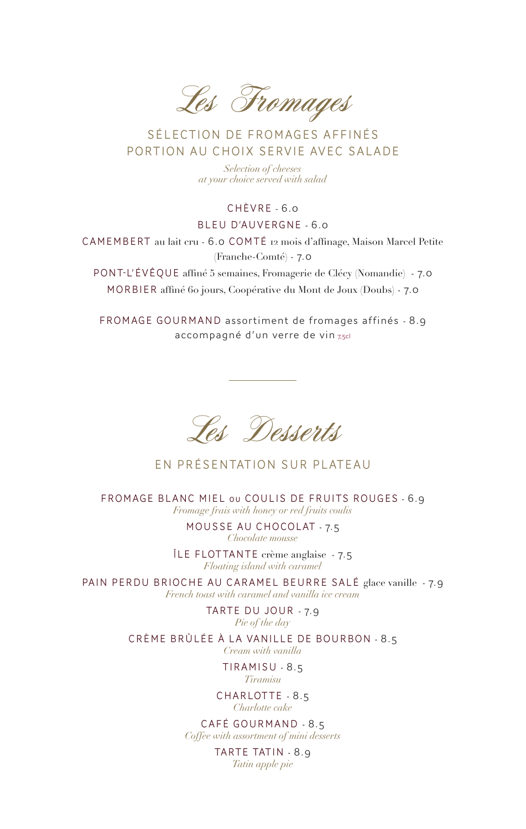Les Fromages

## SÉLECTION DE FROMAGES AFFINÉS PORTION AU CHOIX SERVIE AVEC SALADE

*Selection of cheeses at your choice served with salad*

#### CHÈVRE - 6.0

#### BLEU D'AUVERGNE - 6.0

CAMEMBERT au lait cru - 6.0 COMTÉ 12 mois d'affinage, Maison Marcel Petite (Franche-Comté) - 7.0

PONT-L'ÉVÊQUE affiné 5 semaines, Fromagerie de Clécy (Nomandie) - 7.0 MORBIER affiné 60 jours, Coopérative du Mont de Joux (Doubs) - 7.0

FROMAGE GOURMAND assortiment de fromages affinés - 8.9 accompagné d'un verre de vin 7,5cl

Les Desserts

EN PRÉSENTATION SUR PLATEAU

FROMAGE BLANC MIEL ou COULIS DE FRUITS ROUGES - 6.9 *Fromage frais with honey or red fruits coulis* 

> MOUSSE AU CHOCOLAT - 7.5 *Chocolate mousse*

ÎLE FLOT TANTE crème anglaise - 7.5 *Floating island with caramel*

PAIN PERDU BRIOCHE AU CARAMEL BEURRE SALÉ glace vanille - 7.9 *French toast with caramel and vanilla ice cream*

> TARTE DU JOUR - 7.9 *Pie of the day*

CRÈME BRÛLÉE À LA VANILLE DE BOURBON - 8.5 *Cream with vanilla*

> TIRAMISU - 8.5 *Tiramisu*

CHARLOTTE - 8.5 *Charlotte cake*

CAFÉ GOURMAND - 8.5 *Coffee with assortment of mini desserts*

> TARTE TATIN - 8.9 *Tatin apple pie*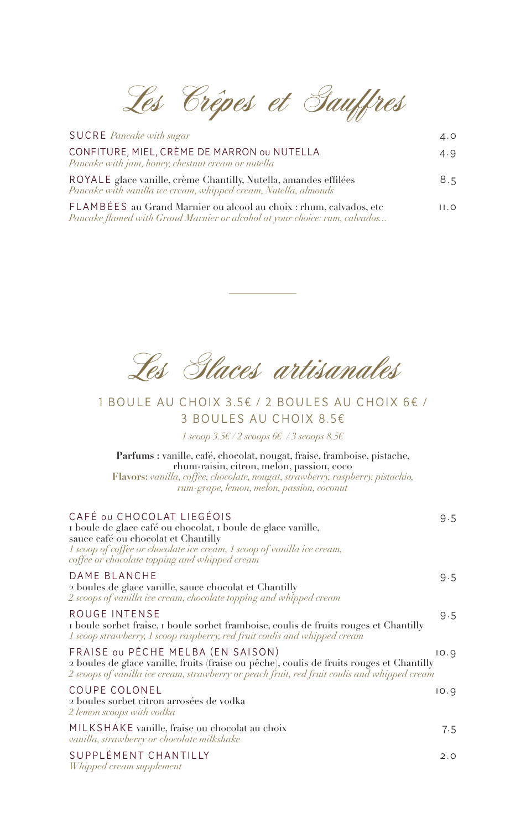Les Crêpes et Gauffres

| <b>SUCRE</b> Pancake with sugar                                                                                                                  | 4.0  |
|--------------------------------------------------------------------------------------------------------------------------------------------------|------|
| CONFITURE, MIEL, CRÈME DE MARRON ou NUTELLA<br>Pancake with jam, honey, chestnut cream or nutella                                                | 4.9  |
| ROYALE glace vanille, crème Chantilly, Nutella, amandes effilées<br>Pancake with vanilla ice cream, whipped cream, Nutella, almonds              | 8.5  |
| FLAMBÉES au Grand Marnier ou alcool au choix : rhum, calvados, etc<br>Pancake flamed with Grand Marnier or alcohol at your choice: rum, calvados | 11.0 |

Les Glaces artisanales

## 1 BOULE AU CHOIX 3.5€ / 2 BOULES AU CHOIX 6€ / 3 BOULES AU CHOIX 8.5€

*1 scoop 3.5€ / 2 scoops 6€ / 3 scoops 8.5€*

**Parfums :** vanille, café, chocolat, nougat, fraise, framboise, pistache, rhum-raisin, citron, melon, passion, coco **Flavors:** *vanilla, coffee, chocolate, nougat, strawberry, raspberry, pistachio, rum-grape, lemon, melon, passion, coconut*

| CAFÉ OU CHOCOLAT LIEGÉOIS<br>I boule de glace café ou chocolat, i boule de glace vanille,<br>sauce café ou chocolat et Chantilly<br>1 scoop of coffee or chocolate ice cream, 1 scoop of vanilla ice cream,<br>coffee or chocolate topping and whipped cream | 9.5  |
|--------------------------------------------------------------------------------------------------------------------------------------------------------------------------------------------------------------------------------------------------------------|------|
| DAME BLANCHE<br>2 boules de glace vanille, sauce chocolat et Chantilly<br>2 scoops of vanilla ice cream, chocolate topping and whipped cream                                                                                                                 | 9.5  |
| ROUGE INTENSE<br>I boule sorbet fraise, I boule sorbet framboise, coulis de fruits rouges et Chantilly<br>1 scoop strawberry, 1 scoop raspberry, red fruit coulis and whipped cream                                                                          | 9.5  |
| FRAISE OU PÊCHE MELBA (EN SAISON)<br>2 boules de glace vanille, fruits (fraise ou pêche), coulis de fruits rouges et Chantilly<br>2 scoops of vanilla ice cream, strawberry or peach fruit, red fruit coulis and whipped cream                               | 10.9 |
| <b>COUPE COLONEL</b><br>2 boules sorbet citron arrosées de vodka<br>2 lemon scoops with vodka                                                                                                                                                                | 10.9 |
| MILKSHAKE vanille, fraise ou chocolat au choix<br>vanilla, strawberry or chocolate milkshake                                                                                                                                                                 | 7.5  |
| SUPPLÉMENT CHANTILLY<br>Whipped cream supplement                                                                                                                                                                                                             | 2.0  |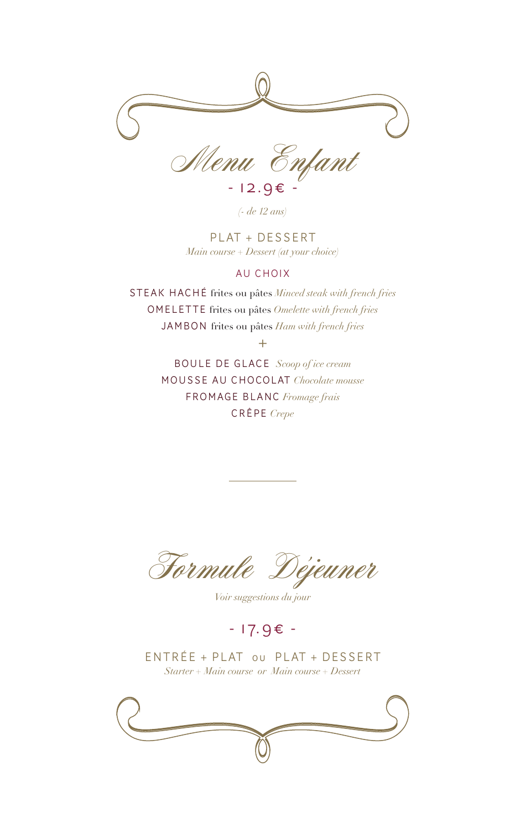

- 12.9€ - *(- de 12 ans)*

PLAT + DESSERT *Main course + Dessert (at your choice)* 

#### AU CHOIX

STEAK HACHÉ frites ou pâtes *Minced steak with french fries* OMELETTE frites ou pâtes *Omelette with french fries* JAMBON frites ou pâtes *Ham with french fries*

 $+$ 

BOULE DE GLACE *Scoop of ice cream* MOUSSE AU CHOCOLAT *Chocolate mousse* FROMAGE BLANC *Fromage frais* CRÊPE *Crepe*

Formule Déjeuner

*Voir suggestions du jour*

# - 17.9€ -

ENTRÉE + PLAT ou PLAT + DESSERT *Starter + Main course or Main course + Dessert*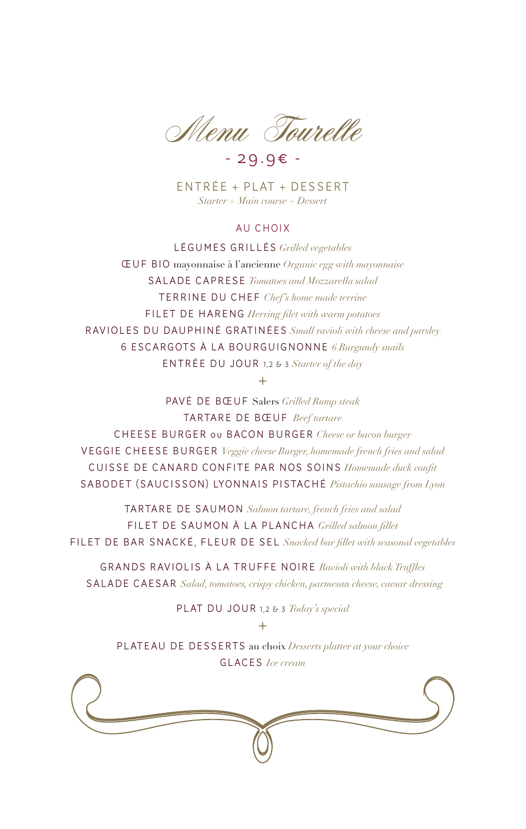Menu Tourelle

- 29.9€ -

ENTRÉE + PLAT + DESSERT *Starter + Main course + Dessert*

#### AU CHOIX

LÉGUMES GRILLÉS *Grilled vegetables* ŒUF BIO mayonnaise à l'ancienne *Organic egg with mayonnaise* SALADE CAPRESE *Tomatoes and Mozzarella salad* TERRINE DU CHEF *Chef's home made terrine* FILET DE HARENG *Herring filet with warm potatoes* RAVIOLES DU DAUPHINÉ GRATINÉES *Small ravioli with cheese and parsley* 6 ESCARGOTS À LA BOURGUIGNONNE *6 Burgundy snails* ENTRÉE DU JOUR 1,2 & 3 *Starter of the day*

 $+$ 

PAVÉ DE BŒUF Salers *Grilled Rump steak* TARTARE DE BŒUF *Beef tartare* CHEESE BURGER ou BACON BURGER *Cheese or bacon burger* VEGGIE CHEESE BURGER *Veggie cheese Burger, homemade french fries and salad* CUISSE DE CANARD CONFITE PAR NOS SOINS *Homemade duck confit* SABODET (SAUCISSON) LYONNAIS PISTACHÉ *Pistachio sausage from Lyon*

TARTARE DE SAUMON *Salmon tartare, french fries and salad* FILET DE SAUMON À LA PLANCHA *Grilled salmon fillet* FILET DE BAR SNACKÉ, FLEUR DE SEL *Snacked bar fillet with seasonal vegetables*

GRANDS RAVIOLIS À LA TRUFFE NOIRE *Ravioli with black Truffles* SALADE CAESAR *Salad, tomatoes, crispy chicken, parmesan cheese, caesar dressing*

PLAT DU JOUR 1,2 & 3 *Today's special*

PLATEAU DE DESSERTS au choix *Desserts platter at your choice* GLACES *Ice cream*

 $+$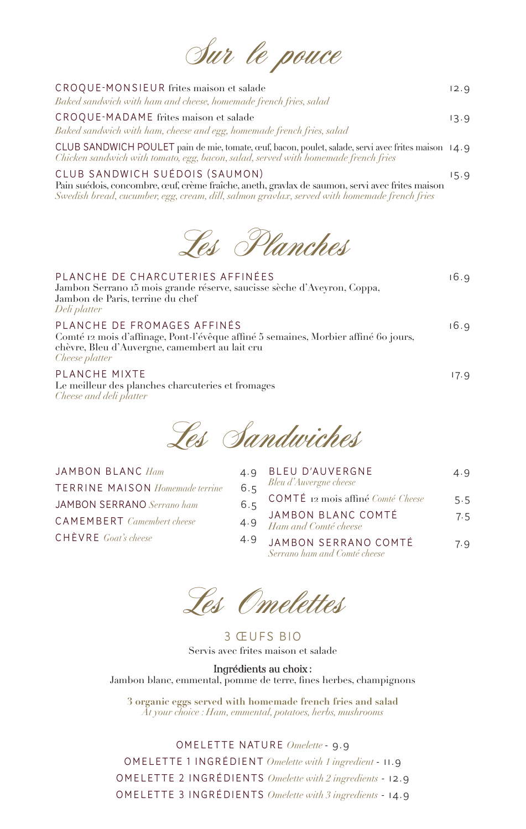| Baked sandwich with ham and cheese, homemade french fries, salad<br>CROQUE-MADAME frites maison et salade | 13.9 |
|-----------------------------------------------------------------------------------------------------------|------|
| Baked sandwich with ham, cheese and egg, homemade french fries, salad                                     |      |

Sur le pouce

CLUB SANDWICH POULET pain de mie, tomate, œuf, bacon, poulet, salade, servi avec frites maison 14.9 *Chicken sandwich with tomato, egg, bacon, salad, served with homemade french fries*

#### CLUB SANDWICH SUÉDOIS (SAUMON) 15.9

Pain suédois, concombre, œuf, crème fraîche, aneth, gravlax de saumon, servi avec frites maison *Swedish bread, cucumber, egg, cream, dill, salmon gravlax, served with homemade french fries*



## PLANCHE DE CHARCUTERIES AFFINÉES 16.9

Jambon Serrano 15 mois grande réserve, saucisse sèche d'Aveyron, Coppa, Jambon de Paris, terrine du chef *Deli platter*

PLANCHE DE FROMAGES AFFINÉS 16.9

Comté 12 mois d'affinage, Pont-l'évêque affiné 5 semaines, Morbier affiné 60 jours, chèvre, Bleu d'Auvergne, camembert au lait cru *Cheese platter*

#### PLANCHE MIXTE 17.9

Le meilleur des planches charcuteries et fromages *Cheese and deli platter*

Les Sandwiches

| JAMBON BLANC Ham                       | 4.9 |
|----------------------------------------|-----|
| <b>TERRINE MAISON</b> Homemade terrine | 6.5 |
| <b>JAMBON SERRANO</b> Serrano ham      | 6.5 |
| <b>CAMEMBERT</b> Camembert cheese      | 4.9 |
| $CHÈVRE$ Goat's cheese                 | 4.9 |

| Q              | BLEU D'AUVERGNE                                                                   | 4.9 |
|----------------|-----------------------------------------------------------------------------------|-----|
| $\overline{5}$ | Bleu d'Auvergne cheese                                                            |     |
| .5             | $\texttt{COMT}\acute{\texttt{E}}$ 12 mois affiné $\mathit{Comt\'e}\mathit{Check}$ | 5.5 |
| 9              | JAMBON BLANC COMTÉ                                                                | 7.5 |
|                | Ham and Comté cheese                                                              |     |
| -9             | JAMBON SERRANO COMTÉ<br>Serrano ham and Comté cheese                              | 7.9 |
|                |                                                                                   |     |

Les Omelettes

3 ŒUFS BIO Servis avec frites maison et salade

Ingrédients au choix : Jambon blanc, emmental, pomme de terre, fines herbes, champignons

**3 organic eggs served with homemade french fries and salad** *At your choice : Ham, emmental, potatoes, herbs, mushrooms*

OMELET TE NATURE *Omelette* - 9.9 OMELETTE 1 INGRÉDIENT *Omelette with 1 ingredient* - 11.9 OMELETTE 2 INGRÉDIENTS *Omelette with 2 ingredients* - 12.9 OMELETTE 3 INGRÉDIENTS *Omelette with 3 ingredients* - 14.9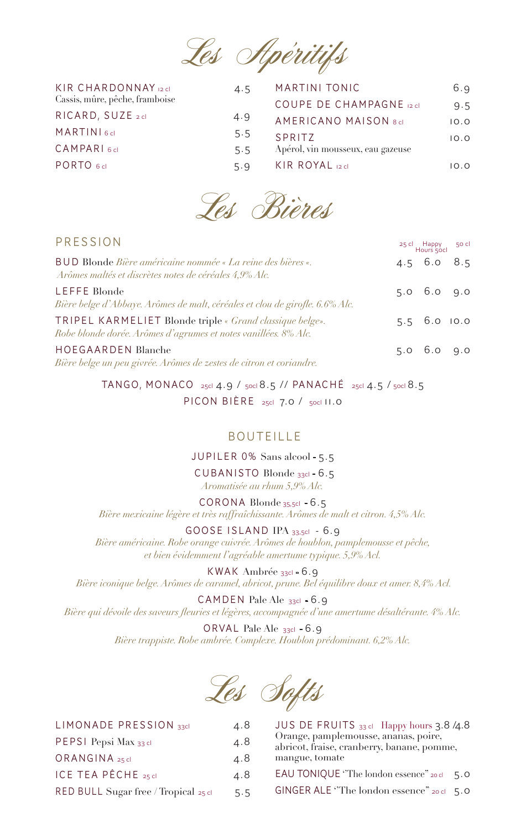

| KIR CHARDONNAY 12 cl           | 4.5 | MARTINI TONIC                     | 6.9  |
|--------------------------------|-----|-----------------------------------|------|
| Cassis, mûre, pêche, framboise |     | <b>COUPE DE CHAMPAGNE 12 cl</b>   | 9.5  |
| RICARD, SUZE 2 cl              | 4.9 | <b>AMERICANO MAISON 8cl</b>       | 10.0 |
| MARTINI <sub>6cl</sub>         | 5.5 | SPRITZ                            | 10.0 |
| CAMPARI <sub>6cl</sub>         | 5.5 | Apérol, vin mousseux, eau gazeuse |      |
| PORTO 6 cl                     | 5.9 | KIR ROYAL 12 cl                   | 10.0 |



| PRESSION                                                                                                                    | 25 cl Happy<br>Hours 50cl | 50 cl |
|-----------------------------------------------------------------------------------------------------------------------------|---------------------------|-------|
| BUD Blonde Bière américaine nommée « La reine des bières «.<br>Arômes maltés et discrètes notes de céréales 4,9% Alc.       | $4.5\quad 6.0\quad 8.5$   |       |
| LEFFE Blonde<br>Bière belge d'Abbaye. Arômes de malt, céréales et clou de girofle. 6.6% Alc.                                | $5.0\quad 6.0\quad 9.0$   |       |
| TRIPEL KARMELIET Blonde triple « Grand classique belge».<br>Robe blonde dorée. Arômes d'agrumes et notes vanillées. 8% Alc. | $5.5\quad 6.0\quad 10.0$  |       |
| <b>HOEGAARDEN Blanche</b><br>Bière belge un peu givrée. Arômes de zestes de citron et coriandre.                            | $5.0\quad 6.0\quad 9.0$   |       |

TANGO, MONACO 25cl 4.9 / 50cl 8.5 // PANACHÉ 25cl 4.5 / 50cl 8.5 PICON BIÈRE 25cl 7.0 / 50cl II.0

## BOUTEILLE

JUPILER 0% Sans alcool - 5.5

 CUBANISTO Blonde 33cl - 6.5 *Aromatisée au rhum 5,9% Alc.*

CORONA Blonde 35,5cl - 6.5

*Bière mexicaine légère et très raffraîchissante. Arômes de malt et citron. 4,5% Alc.*

GOOSE ISLAND IPA 33,5cl - 6.9

*Bière américaine. Robe orange cuivrée. Arômes de houblon, pamplemousse et pêche, et bien évidemment l'agréable amertume typique. 5,9% Acl.* 

KWAK Ambrée 33cl - 6.9  *Bière iconique belge. Arômes de caramel, abricot, prune. Bel équilibre doux et amer. 8,4% Acl.*

CAMDEN Pale Ale 33cl - 6.9 *Bière qui dévoile des saveurs fleuries et légères, accompagnée d'une amertume désaltérante. 4% Alc.*

> ORVAL Pale Ale 33cl - 6.9 *Bière trappiste. Robe ambrée. Complexe. Houblon prédominant. 6,2% Alc.*

Les Softs

| LIMONADE PRESSION 33cl                    | 4.8 | JUS DE FRUITS 33 cl Happy hours 3.8 /4.8                                           |
|-------------------------------------------|-----|------------------------------------------------------------------------------------|
| PEPSI Pepsi Max 33 cl                     | 4.8 | Orange, pamplemousse, ananas, poire,<br>abricot, fraise, cranberry, banane, pomme, |
| ORANGINA 25 cl                            | 4.8 | mangue, tomate                                                                     |
| ICE TEA PÊCHE 25 cl                       | 4.8 | EAU TONIQUE "The london essence" 20 cl 5.0                                         |
| RED BULL Sugar free / Tropical $_{25}$ cl | 5.5 | GINGER ALE "The london essence" 20 cl $\,$ 5.0                                     |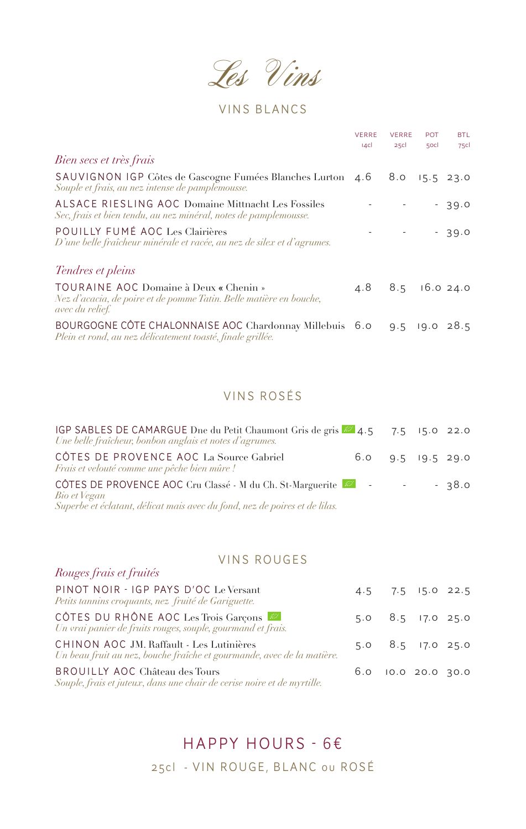Les Vins

# VINS BLANCS

|                                                                                                                                        | <b>VERRE</b><br> 4c | <b>VERRE</b><br>25c | <b>POT</b><br>50cl | <b>BTL</b><br>75c |
|----------------------------------------------------------------------------------------------------------------------------------------|---------------------|---------------------|--------------------|-------------------|
| Bien secs et très frais                                                                                                                |                     |                     |                    |                   |
| SAUVIGNON IGP Côtes de Gascogne Fumées Blanches Lurton 4.6<br>Souple et frais, au nez intense de pamplemousse.                         |                     |                     | $8.0$ $15.5$ 23.0  |                   |
| ALSACE RIESLING AOC Domaine Mittnacht Les Fossiles<br>Sec, frais et bien tendu, au nez minéral, notes de pamplemousse.                 |                     |                     |                    | $-39.0$           |
| POUILLY FUMÉ AOC Les Clairières<br>D'une belle fraîcheur minérale et racée, au nez de silex et d'agrumes.                              |                     |                     |                    | $-39.0$           |
| Tendres et pleins                                                                                                                      |                     |                     |                    |                   |
| TOURAINE AOC Domaine à Deux « Chenin »<br>Nez d'acacia, de poire et de pomme Tatin. Belle matière en bouche,<br><i>avec du relief.</i> |                     | 4.8 8.5 16.0 24.0   |                    |                   |
| BOURGOGNE CÔTE CHALONNAISE AOC Chardonnay Millebuis 6.0<br>Plein et rond, au nez délicatement toasté, finale grillée.                  |                     |                     | $9.5$ 19.0 28.5    |                   |

## VINS ROSÉS

| IGP SABLES DE CAMARGUE Dne du Petit Chaumont Gris de gris 22 4.5 7.5 15.0 22.0<br>Une belle fraîcheur, bonbon anglais et notes d'agrumes.               |                         |  |         |
|---------------------------------------------------------------------------------------------------------------------------------------------------------|-------------------------|--|---------|
| CÔTES DE PROVENCE AOC La Source Gabriel<br>Frais et velouté comme une pêche bien mûre !                                                                 | $6.0$ $9.5$ $19.5$ 29.0 |  |         |
| CÔTES DE PROVENCE AOC Cru Classé - M du Ch. St-Marguerite<br>Bio et Vegan<br>Superbe et éclatant, délicat mais avec du fond, nez de poires et de lilas. |                         |  | $-38.0$ |

## VINS ROUGES

*Rouges frais et fruités* 

| PINOT NOIR - IGP PAYS D'OC Le Versant<br>Petits tannins croquants, nez fruité de Gariguette.                       |  | 4.5 7.5 15.0 22.5         |  |
|--------------------------------------------------------------------------------------------------------------------|--|---------------------------|--|
| CÔTES DU RHÔNE AOC Les Trois Garçons<br>Un vrai panier de fruits rouges, souple, gourmand et frais.                |  | 5.0 8.5 17.0 25.0         |  |
| CHINON AOC JM. Raffault - Les Lutinières<br>Un beau fruit au nez, bouche fraîche et gourmande, avec de la matière. |  | $5.0$ $8.5$ $17.0$ $25.0$ |  |
| BROUILLY AOC Château des Tours<br>Souple, frais et juteux, dans une chair de cerise noire et de myrtille.          |  | 6.0 10.0 20.0 30.0        |  |

# HAPPY HOURS - 6€

25cl - VIN ROUGE, BLANC ou ROSÉ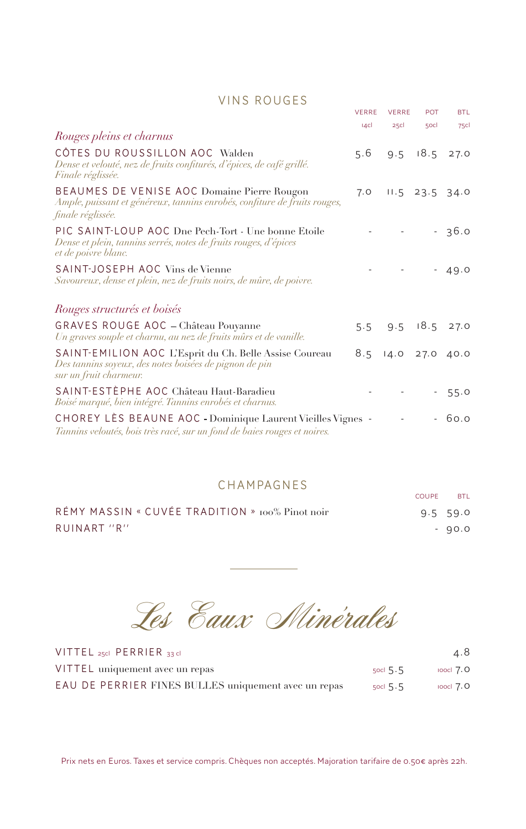## VINS ROUGES

|                                                                                                                                                | <b>VERRE</b> | <b>VERRE</b>      | <b>POT</b>       | <b>BTL</b> |
|------------------------------------------------------------------------------------------------------------------------------------------------|--------------|-------------------|------------------|------------|
|                                                                                                                                                | 4c           | 25c               | 50cl             | 75cl       |
| Rouges pleins et charnus                                                                                                                       |              |                   |                  |            |
| CÔTES DU ROUSSILLON AOC Walden<br>Dense et velouté, nez de fruits confiturés, d'épices, de café grillé.<br>Finale réglissée.                   | 5.6          | 9.5               | 18.5             | 27.0       |
| BEAUMES DE VENISE AOC Domaine Pierre Rougon<br>Ample, puissant et généreux, tannins enrobés, confiture de fruits rouges,<br>finale réglissée.  | 7.0          |                   | $11.5$ 23.5 34.0 |            |
| PIC SAINT-LOUP AOC Dne Pech-Tort - Une bonne Etoile<br>Dense et plein, tannins serrés, notes de fruits rouges, d'épices<br>et de poivre blanc. |              |                   |                  | 36.0       |
| SAINT-JOSEPH AOC Vins de Vienne<br>Savoureux, dense et plein, nez de fruits noirs, de mûre, de poivre.                                         |              |                   |                  | 49.0       |
| Rouges structurés et boisés                                                                                                                    |              |                   |                  |            |
| GRAVES ROUGE AOC - Château Pouyanne<br>Un graves souple et charnu, au nez de fruits mûrs et de vanille.                                        |              | 5.5 9.5 18.5 27.0 |                  |            |
| SAINT-EMILION AOC L'Esprit du Ch. Belle Assise Coureau<br>Des tannins soyeux, des notes boisées de pignon de pin<br>sur un fruit charmeur.     | 8.5          | 14.0 27.0 40.0    |                  |            |
| SAINT-ESTÈPHE AOC Château Haut-Baradieu<br>Boisé marqué, bien intégré. Tannins enrobés et charnus.                                             |              |                   |                  | 55.0       |
| CHOREY LÈS BEAUNE AOC - Dominique Laurent Vieilles Vignes -<br>Tannins veloutés, bois très racé, sur un fond de baies rouges et noires.        |              |                   |                  | 60.0       |

# CHAMPAGNES COUPE BTL

| RÉMY MASSIN « CUVÉE TRADITION » 100% Pinot noir | $9.5$ 59.0 |
|-------------------------------------------------|------------|
| RUINART "R"                                     | - 90.0     |

Les Eaux Minérales

| VITTEL 25cl PERRIER 33 cl                            |            | 4.8           |
|------------------------------------------------------|------------|---------------|
| VITTEL uniquement avec un repas                      | socl $5.5$ | $100c1$ $7.0$ |
| EAU DE PERRIER FINES BULLES uniquement avec un repas | socl $5.5$ | $100CI$ 7.0   |